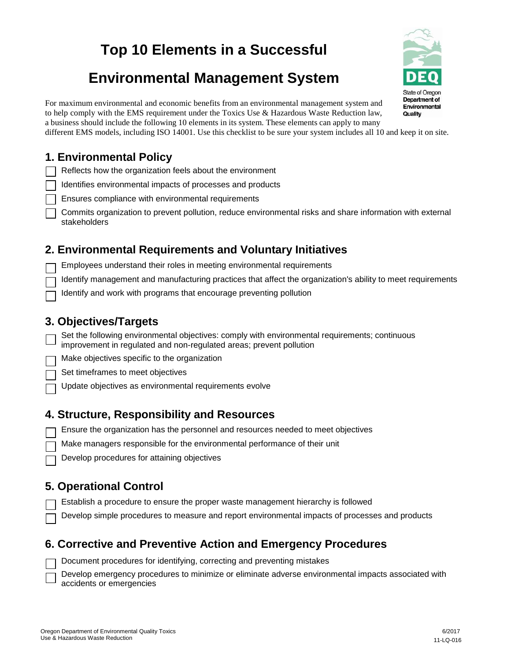# **Top 10 Elements in a Successful**

# **Environmental Management System**

For maximum environmental and economic benefits from an environmental management system and to help comply with the EMS requirement under the Toxics Use & Hazardous Waste Reduction law, a business should include the following 10 elements in its system. These elements can apply to many

different EMS models, including ISO 14001. Use this checklist to be sure your system includes all 10 and keep it on site.

# **1. Environmental Policy**

Reflects how the organization feels about the environment

Identifies environmental impacts of processes and products

Ensures compliance with environmental requirements

Commits organization to prevent pollution, reduce environmental risks and share information with external stakeholders

## **2. Environmental Requirements and Voluntary Initiatives**

Employees understand their roles in meeting environmental requirements

Identify management and manufacturing practices that affect the organization's ability to meet requirements

Identify and work with programs that encourage preventing pollution

#### **3. Objectives/Targets**

Set the following environmental objectives: comply with environmental requirements; continuous improvement in regulated and non-regulated areas; prevent pollution

Make objectives specific to the organization

Set timeframes to meet objectives

Update objectives as environmental requirements evolve

#### **4. Structure, Responsibility and Resources**

Ensure the organization has the personnel and resources needed to meet objectives

Make managers responsible for the environmental performance of their unit

Develop procedures for attaining objectives

# **5. Operational Control**

Establish a procedure to ensure the proper waste management hierarchy is followed

Develop simple procedures to measure and report environmental impacts of processes and products

#### **6. Corrective and Preventive Action and Emergency Procedures**

Document procedures for identifying, correcting and preventing mistakes

Develop emergency procedures to minimize or eliminate adverse environmental impacts associated with accidents or emergencies



Quality